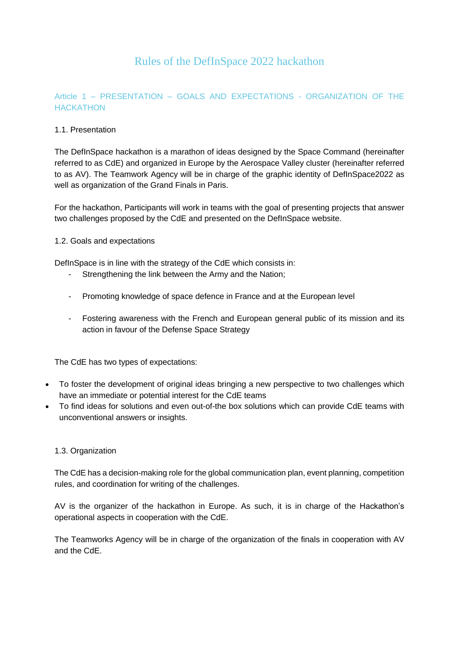# Rules of the DefInSpace 2022 hackathon

# Article 1 – PRESENTATION – GOALS AND EXPECTATIONS - ORGANIZATION OF THE **HACKATHON**

# 1.1. Presentation

The DefInSpace hackathon is a marathon of ideas designed by the Space Command (hereinafter referred to as CdE) and organized in Europe by the Aerospace Valley cluster (hereinafter referred to as AV). The Teamwork Agency will be in charge of the graphic identity of DefInSpace2022 as well as organization of the Grand Finals in Paris.

For the hackathon, Participants will work in teams with the goal of presenting projects that answer two challenges proposed by the CdE and presented on the DefInSpace website.

#### 1.2. Goals and expectations

DefInSpace is in line with the strategy of the CdE which consists in:

- Strengthening the link between the Army and the Nation;
- Promoting knowledge of space defence in France and at the European level
- Fostering awareness with the French and European general public of its mission and its action in favour of the Defense Space Strategy

The CdE has two types of expectations:

- To foster the development of original ideas bringing a new perspective to two challenges which have an immediate or potential interest for the CdE teams
- To find ideas for solutions and even out-of-the box solutions which can provide CdE teams with unconventional answers or insights.

#### 1.3. Organization

The CdE has a decision-making role for the global communication plan, event planning, competition rules, and coordination for writing of the challenges.

AV is the organizer of the hackathon in Europe. As such, it is in charge of the Hackathon's operational aspects in cooperation with the CdE.

The Teamworks Agency will be in charge of the organization of the finals in cooperation with AV and the CdE.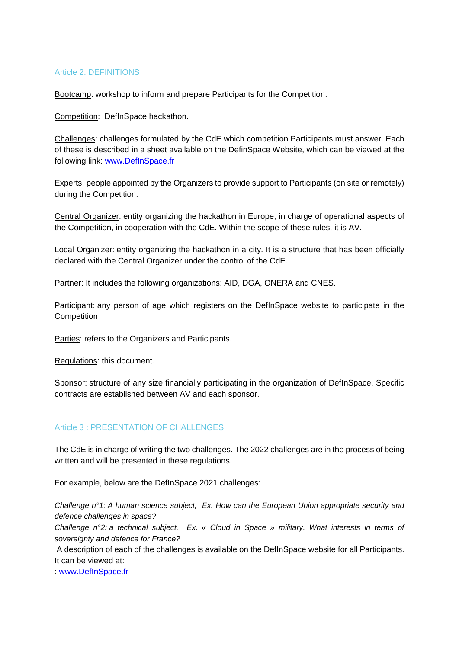#### Article 2: DEFINITIONS

Bootcamp: workshop to inform and prepare Participants for the Competition.

Competition: DefInSpace hackathon.

Challenges: challenges formulated by the CdE which competition Participants must answer. Each of these is described in a sheet available on the DefinSpace Website, which can be viewed at the following link: [www.DefInSpace.fr](http://www.definspace.fr/)

Experts: people appointed by the Organizers to provide support to Participants (on site or remotely) during the Competition.

Central Organizer: entity organizing the hackathon in Europe, in charge of operational aspects of the Competition, in cooperation with the CdE. Within the scope of these rules, it is AV.

Local Organizer: entity organizing the hackathon in a city. It is a structure that has been officially declared with the Central Organizer under the control of the CdE.

Partner: It includes the following organizations: AID, DGA, ONERA and CNES.

Participant: any person of age which registers on the DefInSpace website to participate in the **Competition** 

Parties: refers to the Organizers and Participants.

Regulations: this document.

Sponsor: structure of any size financially participating in the organization of DefInSpace. Specific contracts are established between AV and each sponsor.

# Article 3 · PRESENTATION OF CHALLENGES

The CdE is in charge of writing the two challenges. The 2022 challenges are in the process of being written and will be presented in these regulations.

For example, below are the DefInSpace 2021 challenges:

*Challenge n°1: A human science subject, Ex. How can the European Union appropriate security and defence challenges in space?*

*Challenge n°2: a technical subject. Ex. « Cloud in Space » military. What interests in terms of sovereignty and defence for France?*

A description of each of the challenges is available on the DefInSpace website for all Participants. It can be viewed at:

: [www.DefInSpace.fr](http://www.definspace.fr/)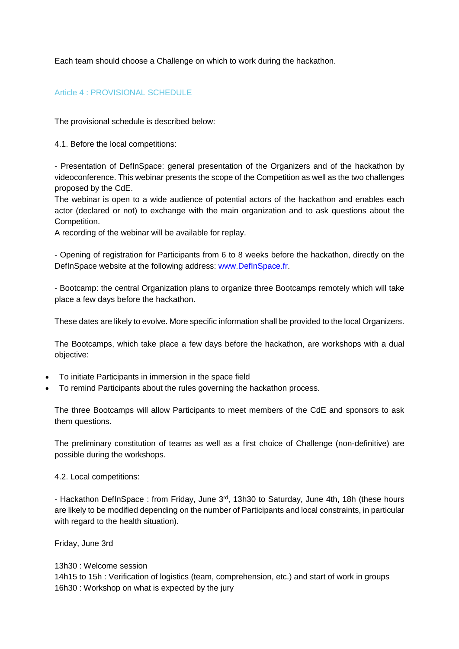Each team should choose a Challenge on which to work during the hackathon.

# Article 4 : PROVISIONAL SCHEDULE

The provisional schedule is described below:

4.1. Before the local competitions:

- Presentation of DefInSpace: general presentation of the Organizers and of the hackathon by videoconference. This webinar presents the scope of the Competition as well as the two challenges proposed by the CdE.

The webinar is open to a wide audience of potential actors of the hackathon and enables each actor (declared or not) to exchange with the main organization and to ask questions about the Competition.

A recording of the webinar will be available for replay.

- Opening of registration for Participants from 6 to 8 weeks before the hackathon, directly on the DefInSpace website at the following address: [www.DefInSpace.fr.](http://www.definspace.fr/)

- Bootcamp: the central Organization plans to organize three Bootcamps remotely which will take place a few days before the hackathon.

These dates are likely to evolve. More specific information shall be provided to the local Organizers.

The Bootcamps, which take place a few days before the hackathon, are workshops with a dual objective:

- To initiate Participants in immersion in the space field
- To remind Participants about the rules governing the hackathon process.

The three Bootcamps will allow Participants to meet members of the CdE and sponsors to ask them questions.

The preliminary constitution of teams as well as a first choice of Challenge (non-definitive) are possible during the workshops.

4.2. Local competitions:

- Hackathon DeflnSpace: from Friday, June 3<sup>rd</sup>, 13h30 to Saturday, June 4th, 18h (these hours are likely to be modified depending on the number of Participants and local constraints, in particular with regard to the health situation).

Friday, June 3rd

13h30 : Welcome session 14h15 to 15h : Verification of logistics (team, comprehension, etc.) and start of work in groups 16h30 : Workshop on what is expected by the jury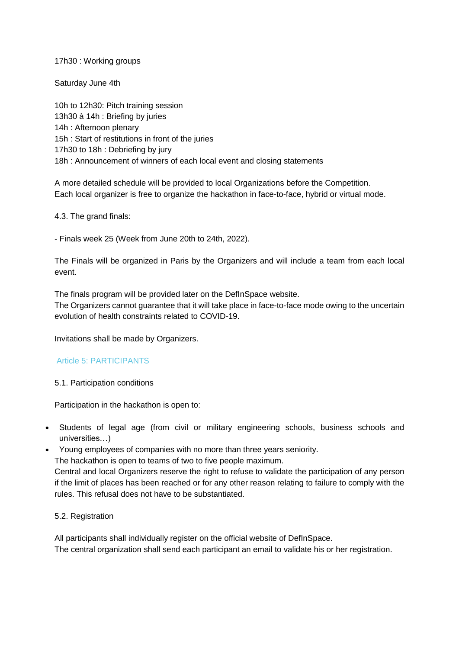17h30 : Working groups

Saturday June 4th

10h to 12h30: Pitch training session 13h30 à 14h : Briefing by juries 14h : Afternoon plenary 15h : Start of restitutions in front of the juries 17h30 to 18h : Debriefing by jury 18h : Announcement of winners of each local event and closing statements

A more detailed schedule will be provided to local Organizations before the Competition. Each local organizer is free to organize the hackathon in face-to-face, hybrid or virtual mode.

4.3. The grand finals:

- Finals week 25 (Week from June 20th to 24th, 2022).

The Finals will be organized in Paris by the Organizers and will include a team from each local event.

The finals program will be provided later on the DefInSpace website. The Organizers cannot guarantee that it will take place in face-to-face mode owing to the uncertain evolution of health constraints related to COVID-19.

Invitations shall be made by Organizers.

# Article 5: PARTICIPANTS

5.1. Participation conditions

Participation in the hackathon is open to:

- Students of legal age (from civil or military engineering schools, business schools and universities…)
- Young employees of companies with no more than three years seniority.

The hackathon is open to teams of two to five people maximum.

Central and local Organizers reserve the right to refuse to validate the participation of any person if the limit of places has been reached or for any other reason relating to failure to comply with the rules. This refusal does not have to be substantiated.

# 5.2. Registration

All participants shall individually register on the official website of DefInSpace. The central organization shall send each participant an email to validate his or her registration.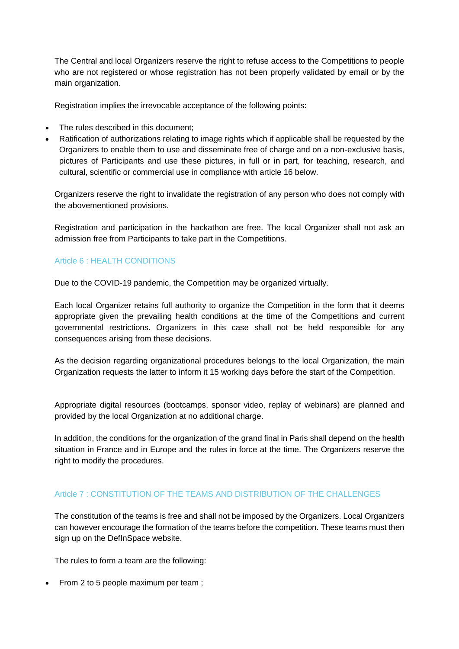The Central and local Organizers reserve the right to refuse access to the Competitions to people who are not registered or whose registration has not been properly validated by email or by the main organization.

Registration implies the irrevocable acceptance of the following points:

- The rules described in this document:
- Ratification of authorizations relating to image rights which if applicable shall be requested by the Organizers to enable them to use and disseminate free of charge and on a non-exclusive basis, pictures of Participants and use these pictures, in full or in part, for teaching, research, and cultural, scientific or commercial use in compliance with article 16 below.

Organizers reserve the right to invalidate the registration of any person who does not comply with the abovementioned provisions.

Registration and participation in the hackathon are free. The local Organizer shall not ask an admission free from Participants to take part in the Competitions.

#### Article 6 : HEALTH CONDITIONS

Due to the COVID-19 pandemic, the Competition may be organized virtually.

Each local Organizer retains full authority to organize the Competition in the form that it deems appropriate given the prevailing health conditions at the time of the Competitions and current governmental restrictions. Organizers in this case shall not be held responsible for any consequences arising from these decisions.

As the decision regarding organizational procedures belongs to the local Organization, the main Organization requests the latter to inform it 15 working days before the start of the Competition.

Appropriate digital resources (bootcamps, sponsor video, replay of webinars) are planned and provided by the local Organization at no additional charge.

In addition, the conditions for the organization of the grand final in Paris shall depend on the health situation in France and in Europe and the rules in force at the time. The Organizers reserve the right to modify the procedures.

# Article 7 : CONSTITUTION OF THE TEAMS AND DISTRIBUTION OF THE CHALLENGES

The constitution of the teams is free and shall not be imposed by the Organizers. Local Organizers can however encourage the formation of the teams before the competition. These teams must then sign up on the DefInSpace website.

The rules to form a team are the following:

• From 2 to 5 people maximum per team;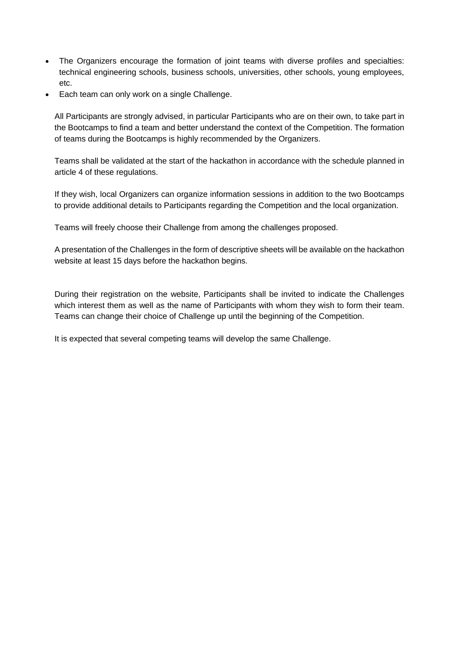- The Organizers encourage the formation of joint teams with diverse profiles and specialties: technical engineering schools, business schools, universities, other schools, young employees, etc.
- Each team can only work on a single Challenge.

All Participants are strongly advised, in particular Participants who are on their own, to take part in the Bootcamps to find a team and better understand the context of the Competition. The formation of teams during the Bootcamps is highly recommended by the Organizers.

Teams shall be validated at the start of the hackathon in accordance with the schedule planned in article 4 of these regulations.

If they wish, local Organizers can organize information sessions in addition to the two Bootcamps to provide additional details to Participants regarding the Competition and the local organization.

Teams will freely choose their Challenge from among the challenges proposed.

A presentation of the Challenges in the form of descriptive sheets will be available on the hackathon website at least 15 days before the hackathon begins.

During their registration on the website, Participants shall be invited to indicate the Challenges which interest them as well as the name of Participants with whom they wish to form their team. Teams can change their choice of Challenge up until the beginning of the Competition.

It is expected that several competing teams will develop the same Challenge.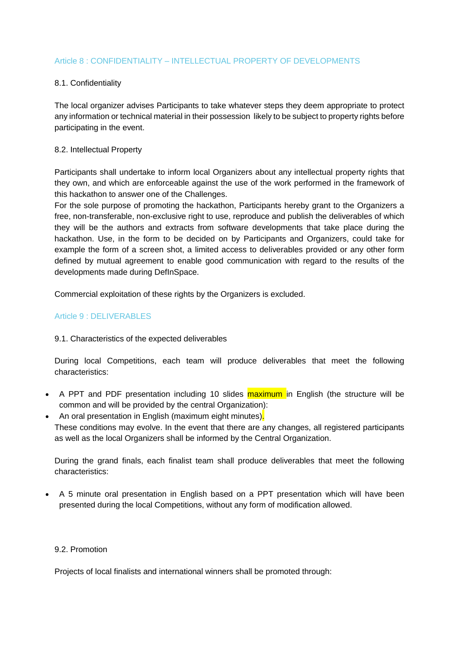# Article 8 : CONFIDENTIALITY – INTELLECTUAL PROPERTY OF DEVELOPMENTS

# 8.1. Confidentiality

The local organizer advises Participants to take whatever steps they deem appropriate to protect any information or technical material in their possession likely to be subject to property rights before participating in the event.

#### 8.2. Intellectual Property

Participants shall undertake to inform local Organizers about any intellectual property rights that they own, and which are enforceable against the use of the work performed in the framework of this hackathon to answer one of the Challenges.

For the sole purpose of promoting the hackathon, Participants hereby grant to the Organizers a free, non-transferable, non-exclusive right to use, reproduce and publish the deliverables of which they will be the authors and extracts from software developments that take place during the hackathon. Use, in the form to be decided on by Participants and Organizers, could take for example the form of a screen shot, a limited access to deliverables provided or any other form defined by mutual agreement to enable good communication with regard to the results of the developments made during DefInSpace.

Commercial exploitation of these rights by the Organizers is excluded.

# Article 9 : DELIVERABLES

#### 9.1. Characteristics of the expected deliverables

During local Competitions, each team will produce deliverables that meet the following characteristics:

- A PPT and PDF presentation including 10 slides maximum in English (the structure will be common and will be provided by the central Organization):
- An oral presentation in English (maximum eight minutes). These conditions may evolve. In the event that there are any changes, all registered participants as well as the local Organizers shall be informed by the Central Organization.

During the grand finals, each finalist team shall produce deliverables that meet the following characteristics:

 A 5 minute oral presentation in English based on a PPT presentation which will have been presented during the local Competitions, without any form of modification allowed.

#### 9.2. Promotion

Projects of local finalists and international winners shall be promoted through: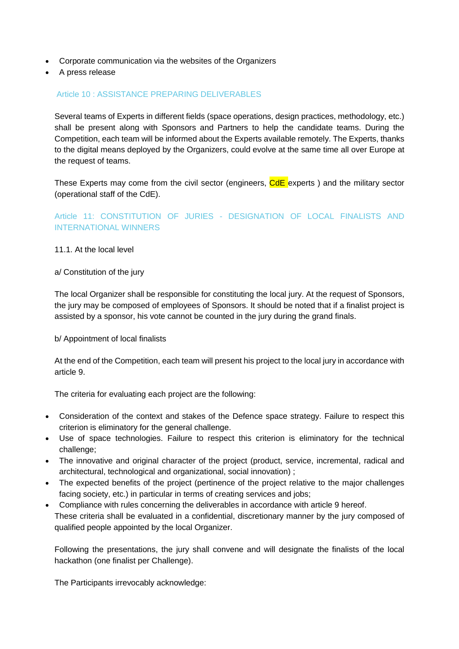- Corporate communication via the websites of the Organizers
- A press release

#### Article 10 : ASSISTANCE PREPARING DELIVERABLES

Several teams of Experts in different fields (space operations, design practices, methodology, etc.) shall be present along with Sponsors and Partners to help the candidate teams. During the Competition, each team will be informed about the Experts available remotely. The Experts, thanks to the digital means deployed by the Organizers, could evolve at the same time all over Europe at the request of teams.

These Experts may come from the civil sector (engineers, CdE experts) and the military sector (operational staff of the CdE).

# Article 11: CONSTITUTION OF JURIES - DESIGNATION OF LOCAL FINALISTS AND INTERNATIONAL WINNERS

#### 11.1. At the local level

#### a/ Constitution of the jury

The local Organizer shall be responsible for constituting the local jury. At the request of Sponsors, the jury may be composed of employees of Sponsors. It should be noted that if a finalist project is assisted by a sponsor, his vote cannot be counted in the jury during the grand finals.

#### b/ Appointment of local finalists

At the end of the Competition, each team will present his project to the local jury in accordance with article 9.

The criteria for evaluating each project are the following:

- Consideration of the context and stakes of the Defence space strategy. Failure to respect this criterion is eliminatory for the general challenge.
- Use of space technologies. Failure to respect this criterion is eliminatory for the technical challenge;
- The innovative and original character of the project (product, service, incremental, radical and architectural, technological and organizational, social innovation) ;
- The expected benefits of the project (pertinence of the project relative to the major challenges facing society, etc.) in particular in terms of creating services and jobs;
- Compliance with rules concerning the deliverables in accordance with article 9 hereof. These criteria shall be evaluated in a confidential, discretionary manner by the jury composed of qualified people appointed by the local Organizer.

Following the presentations, the jury shall convene and will designate the finalists of the local hackathon (one finalist per Challenge).

The Participants irrevocably acknowledge: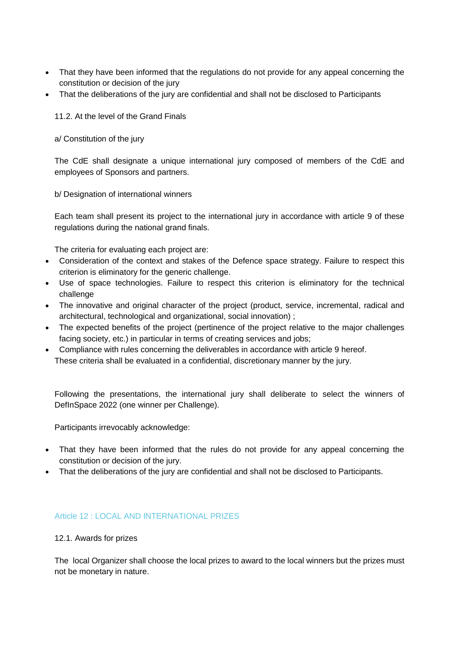- That they have been informed that the regulations do not provide for any appeal concerning the constitution or decision of the jury
- That the deliberations of the jury are confidential and shall not be disclosed to Participants

11.2. At the level of the Grand Finals

a/ Constitution of the jury

The CdE shall designate a unique international jury composed of members of the CdE and employees of Sponsors and partners.

b/ Designation of international winners

Each team shall present its project to the international jury in accordance with article 9 of these regulations during the national grand finals.

The criteria for evaluating each project are:

- Consideration of the context and stakes of the Defence space strategy. Failure to respect this criterion is eliminatory for the generic challenge.
- Use of space technologies. Failure to respect this criterion is eliminatory for the technical challenge
- The innovative and original character of the project (product, service, incremental, radical and architectural, technological and organizational, social innovation) ;
- The expected benefits of the project (pertinence of the project relative to the major challenges facing society, etc.) in particular in terms of creating services and jobs;
- Compliance with rules concerning the deliverables in accordance with article 9 hereof. These criteria shall be evaluated in a confidential, discretionary manner by the jury.

Following the presentations, the international jury shall deliberate to select the winners of DefInSpace 2022 (one winner per Challenge).

Participants irrevocably acknowledge:

- That they have been informed that the rules do not provide for any appeal concerning the constitution or decision of the jury.
- That the deliberations of the jury are confidential and shall not be disclosed to Participants.

#### Article 12 : LOCAL AND INTERNATIONAL PRIZES

#### 12.1. Awards for prizes

The local Organizer shall choose the local prizes to award to the local winners but the prizes must not be monetary in nature.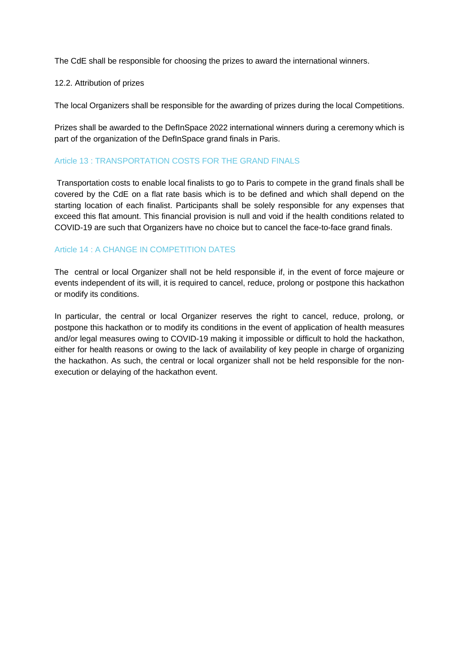The CdE shall be responsible for choosing the prizes to award the international winners.

#### 12.2. Attribution of prizes

The local Organizers shall be responsible for the awarding of prizes during the local Competitions.

Prizes shall be awarded to the DefInSpace 2022 international winners during a ceremony which is part of the organization of the DefInSpace grand finals in Paris.

# Article 13 : TRANSPORTATION COSTS FOR THE GRAND FINALS

Transportation costs to enable local finalists to go to Paris to compete in the grand finals shall be covered by the CdE on a flat rate basis which is to be defined and which shall depend on the starting location of each finalist. Participants shall be solely responsible for any expenses that exceed this flat amount. This financial provision is null and void if the health conditions related to COVID-19 are such that Organizers have no choice but to cancel the face-to-face grand finals.

# Article 14 : A CHANGE IN COMPETITION DATES

The central or local Organizer shall not be held responsible if, in the event of force majeure or events independent of its will, it is required to cancel, reduce, prolong or postpone this hackathon or modify its conditions.

In particular, the central or local Organizer reserves the right to cancel, reduce, prolong, or postpone this hackathon or to modify its conditions in the event of application of health measures and/or legal measures owing to COVID-19 making it impossible or difficult to hold the hackathon, either for health reasons or owing to the lack of availability of key people in charge of organizing the hackathon. As such, the central or local organizer shall not be held responsible for the nonexecution or delaying of the hackathon event.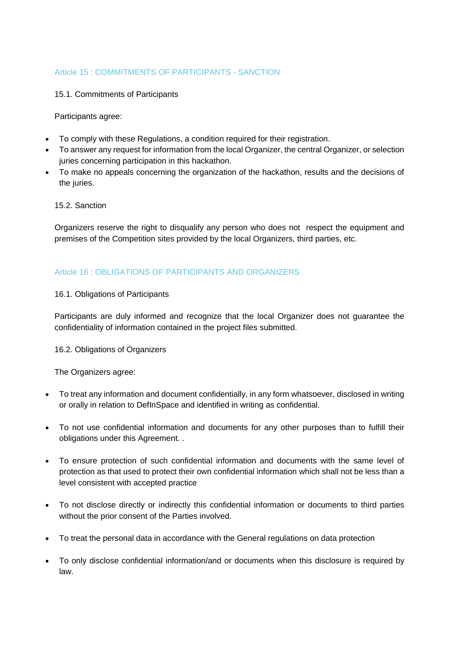# Article 15 : COMMITMENTS OF PARTICIPANTS - SANCTION

#### 15.1. Commitments of Participants

Participants agree:

- To comply with these Regulations, a condition required for their registration.
- To answer any request for information from the local Organizer, the central Organizer, or selection juries concerning participation in this hackathon.
- To make no appeals concerning the organization of the hackathon, results and the decisions of the juries.

#### 15.2. Sanction

Organizers reserve the right to disqualify any person who does not respect the equipment and premises of the Competition sites provided by the local Organizers, third parties, etc.

# Article 16 : OBLIGATIONS OF PARTICIPANTS AND ORGANIZERS

#### 16.1. Obligations of Participants

Participants are duly informed and recognize that the local Organizer does not guarantee the confidentiality of information contained in the project files submitted.

#### 16.2. Obligations of Organizers

The Organizers agree:

- To treat any information and document confidentially, in any form whatsoever, disclosed in writing or orally in relation to DefInSpace and identified in writing as confidential.
- To not use confidential information and documents for any other purposes than to fulfill their obligations under this Agreement. .
- To ensure protection of such confidential information and documents with the same level of protection as that used to protect their own confidential information which shall not be less than a level consistent with accepted practice
- To not disclose directly or indirectly this confidential information or documents to third parties without the prior consent of the Parties involved.
- To treat the personal data in accordance with the General regulations on data protection
- To only disclose confidential information/and or documents when this disclosure is required by law.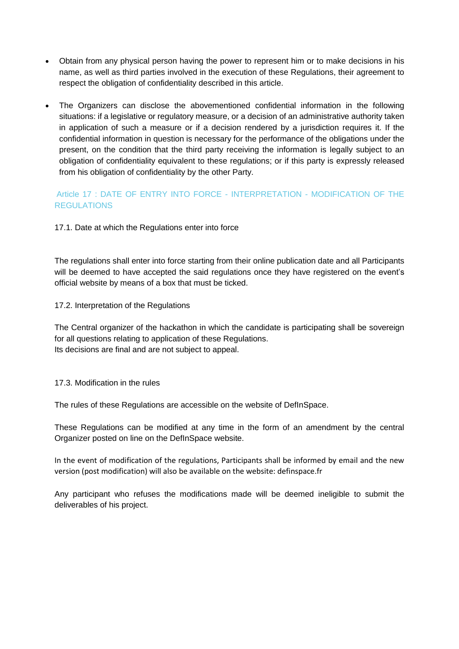- Obtain from any physical person having the power to represent him or to make decisions in his name, as well as third parties involved in the execution of these Regulations, their agreement to respect the obligation of confidentiality described in this article.
- The Organizers can disclose the abovementioned confidential information in the following situations: if a legislative or regulatory measure, or a decision of an administrative authority taken in application of such a measure or if a decision rendered by a jurisdiction requires it. If the confidential information in question is necessary for the performance of the obligations under the present, on the condition that the third party receiving the information is legally subject to an obligation of confidentiality equivalent to these regulations; or if this party is expressly released from his obligation of confidentiality by the other Party.

# Article 17 : DATE OF ENTRY INTO FORCE - INTERPRETATION - MODIFICATION OF THE REGULATIONS

17.1. Date at which the Regulations enter into force

The regulations shall enter into force starting from their online publication date and all Participants will be deemed to have accepted the said regulations once they have registered on the event's official website by means of a box that must be ticked.

17.2. Interpretation of the Regulations

The Central organizer of the hackathon in which the candidate is participating shall be sovereign for all questions relating to application of these Regulations. Its decisions are final and are not subject to appeal.

#### 17.3. Modification in the rules

The rules of these Regulations are accessible on the website of DefInSpace.

These Regulations can be modified at any time in the form of an amendment by the central Organizer posted on line on the DefInSpace website.

In the event of modification of the regulations, Participants shall be informed by email and the new version (post modification) will also be available on the website: definspace.fr

Any participant who refuses the modifications made will be deemed ineligible to submit the deliverables of his project.